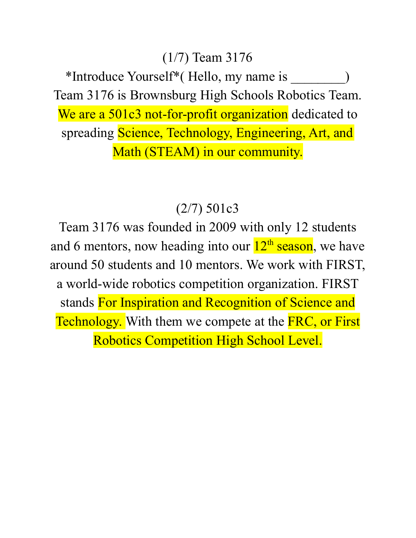#### (1/7) Team 3176

\*Introduce Yourself\*( Hello, my name is \_\_\_\_\_\_\_\_) Team 3176 is Brownsburg High Schools Robotics Team. We are a 501c3 not-for-profit organization dedicated to spreading Science, Technology, Engineering, Art, and Math (STEAM) in our community.

#### (2/7) 501c3

Team 3176 was founded in 2009 with only 12 students and 6 mentors, now heading into our  $12<sup>th</sup>$  season, we have around 50 students and 10 mentors. We work with FIRST, a world-wide robotics competition organization. FIRST stands For Inspiration and Recognition of Science and Technology. With them we compete at the FRC, or First Robotics Competition High School Level.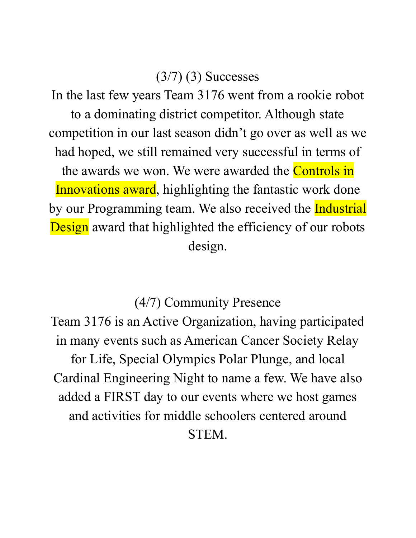### $(3/7)$  (3) Successes

In the last few years Team 3176 went from a rookie robot to a dominating district competitor. Although state competition in our last season didn't go over as well as we had hoped, we still remained very successful in terms of the awards we won. We were awarded the **Controls in** Innovations award, highlighting the fantastic work done by our Programming team. We also received the Industrial Design award that highlighted the efficiency of our robots design.

(4/7) Community Presence

Team 3176 is an Active Organization, having participated in many events such as American Cancer Society Relay for Life, Special Olympics Polar Plunge, and local Cardinal Engineering Night to name a few. We have also added a FIRST day to our events where we host games and activities for middle schoolers centered around STEM.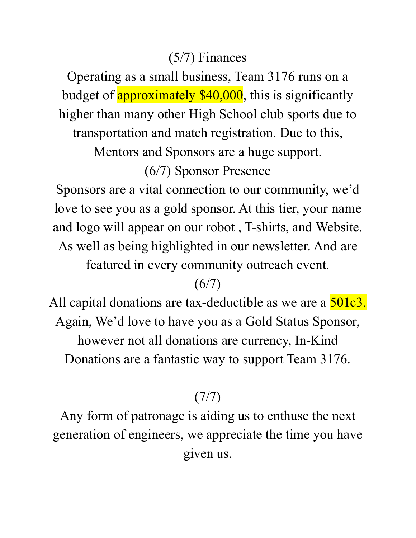## (5/7) Finances

Operating as a small business, Team 3176 runs on a budget of **approximately \$40,000**, this is significantly higher than many other High School club sports due to transportation and match registration. Due to this,

Mentors and Sponsors are a huge support.

### (6/7) Sponsor Presence

Sponsors are a vital connection to our community, we'd love to see you as a gold sponsor. At this tier, your name and logo will appear on our robot , T-shirts, and Website. As well as being highlighted in our newsletter. And are featured in every community outreach event.

## $(6/7)$

All capital donations are tax-deductible as we are a  $\frac{501c3}{ }$ . Again, We'd love to have you as a Gold Status Sponsor, however not all donations are currency, In-Kind Donations are a fantastic way to support Team 3176.

# (7/7)

Any form of patronage is aiding us to enthuse the next generation of engineers, we appreciate the time you have given us.